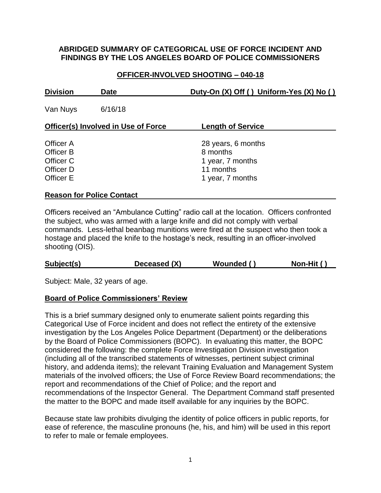### **ABRIDGED SUMMARY OF CATEGORICAL USE OF FORCE INCIDENT AND FINDINGS BY THE LOS ANGELES BOARD OF POLICE COMMISSIONERS**

## **OFFICER-INVOLVED SHOOTING – 040-18**

| <b>Division</b><br><b>Date</b>                                |         | Duty-On (X) Off () Uniform-Yes (X) No ()                                            |  |
|---------------------------------------------------------------|---------|-------------------------------------------------------------------------------------|--|
| Van Nuys                                                      | 6/16/18 |                                                                                     |  |
| <b>Officer(s) Involved in Use of Force</b>                    |         | <b>Length of Service</b>                                                            |  |
| Officer A<br>Officer B<br>Officer C<br>Officer D<br>Officer E |         | 28 years, 6 months<br>8 months<br>1 year, 7 months<br>11 months<br>1 year, 7 months |  |
|                                                               |         |                                                                                     |  |

## **Reason for Police Contact**

Officers received an "Ambulance Cutting" radio call at the location. Officers confronted the subject, who was armed with a large knife and did not comply with verbal commands. Less-lethal beanbag munitions were fired at the suspect who then took a hostage and placed the knife to the hostage's neck, resulting in an officer-involved shooting (OIS).

|  | Subject(s) | Deceased (X) | Wounded () | Non-Hit $()$ |
|--|------------|--------------|------------|--------------|
|--|------------|--------------|------------|--------------|

Subject: Male, 32 years of age.

#### **Board of Police Commissioners' Review**

This is a brief summary designed only to enumerate salient points regarding this Categorical Use of Force incident and does not reflect the entirety of the extensive investigation by the Los Angeles Police Department (Department) or the deliberations by the Board of Police Commissioners (BOPC). In evaluating this matter, the BOPC considered the following: the complete Force Investigation Division investigation (including all of the transcribed statements of witnesses, pertinent subject criminal history, and addenda items); the relevant Training Evaluation and Management System materials of the involved officers; the Use of Force Review Board recommendations; the report and recommendations of the Chief of Police; and the report and recommendations of the Inspector General. The Department Command staff presented the matter to the BOPC and made itself available for any inquiries by the BOPC.

Because state law prohibits divulging the identity of police officers in public reports, for ease of reference, the masculine pronouns (he, his, and him) will be used in this report to refer to male or female employees.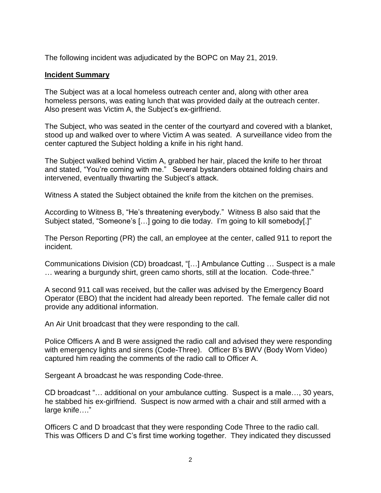The following incident was adjudicated by the BOPC on May 21, 2019.

### **Incident Summary**

The Subject was at a local homeless outreach center and, along with other area homeless persons, was eating lunch that was provided daily at the outreach center. Also present was Victim A, the Subject's ex-girlfriend.

The Subject, who was seated in the center of the courtyard and covered with a blanket, stood up and walked over to where Victim A was seated. A surveillance video from the center captured the Subject holding a knife in his right hand.

The Subject walked behind Victim A, grabbed her hair, placed the knife to her throat and stated, "You're coming with me." Several bystanders obtained folding chairs and intervened, eventually thwarting the Subject's attack.

Witness A stated the Subject obtained the knife from the kitchen on the premises.

According to Witness B, "He's threatening everybody." Witness B also said that the Subject stated, "Someone's […] going to die today. I'm going to kill somebody[.]"

The Person Reporting (PR) the call, an employee at the center, called 911 to report the incident.

Communications Division (CD) broadcast, "[…] Ambulance Cutting … Suspect is a male … wearing a burgundy shirt, green camo shorts, still at the location. Code-three."

A second 911 call was received, but the caller was advised by the Emergency Board Operator (EBO) that the incident had already been reported. The female caller did not provide any additional information.

An Air Unit broadcast that they were responding to the call.

Police Officers A and B were assigned the radio call and advised they were responding with emergency lights and sirens (Code-Three). Officer B's BWV (Body Worn Video) captured him reading the comments of the radio call to Officer A.

Sergeant A broadcast he was responding Code-three.

CD broadcast "… additional on your ambulance cutting. Suspect is a male…, 30 years, he stabbed his ex-girlfriend. Suspect is now armed with a chair and still armed with a large knife…."

Officers C and D broadcast that they were responding Code Three to the radio call. This was Officers D and C's first time working together. They indicated they discussed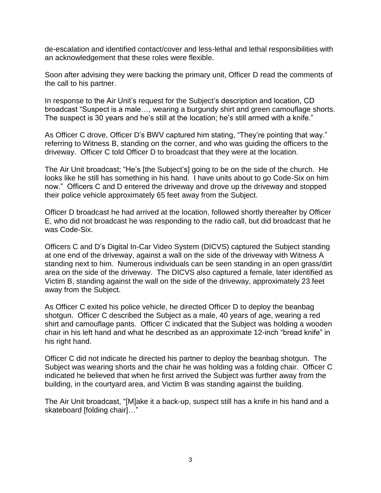de-escalation and identified contact/cover and less-lethal and lethal responsibilities with an acknowledgement that these roles were flexible.

Soon after advising they were backing the primary unit, Officer D read the comments of the call to his partner.

In response to the Air Unit's request for the Subject's description and location, CD broadcast "Suspect is a male…, wearing a burgundy shirt and green camouflage shorts. The suspect is 30 years and he's still at the location; he's still armed with a knife."

As Officer C drove, Officer D's BWV captured him stating, "They're pointing that way." referring to Witness B, standing on the corner, and who was guiding the officers to the driveway. Officer C told Officer D to broadcast that they were at the location.

The Air Unit broadcast; "He's [the Subject's] going to be on the side of the church. He looks like he still has something in his hand. I have units about to go Code-Six on him now." Officers C and D entered the driveway and drove up the driveway and stopped their police vehicle approximately 65 feet away from the Subject.

Officer D broadcast he had arrived at the location, followed shortly thereafter by Officer E, who did not broadcast he was responding to the radio call, but did broadcast that he was Code-Six.

Officers C and D's Digital In-Car Video System (DICVS) captured the Subject standing at one end of the driveway, against a wall on the side of the driveway with Witness A standing next to him. Numerous individuals can be seen standing in an open grass/dirt area on the side of the driveway. The DICVS also captured a female, later identified as Victim B, standing against the wall on the side of the driveway, approximately 23 feet away from the Subject.

As Officer C exited his police vehicle, he directed Officer D to deploy the beanbag shotgun. Officer C described the Subject as a male, 40 years of age, wearing a red shirt and camouflage pants. Officer C indicated that the Subject was holding a wooden chair in his left hand and what he described as an approximate 12-inch "bread knife" in his right hand.

Officer C did not indicate he directed his partner to deploy the beanbag shotgun. The Subject was wearing shorts and the chair he was holding was a folding chair. Officer C indicated he believed that when he first arrived the Subject was further away from the building, in the courtyard area, and Victim B was standing against the building.

The Air Unit broadcast, "[M]ake it a back-up, suspect still has a knife in his hand and a skateboard [folding chair]…"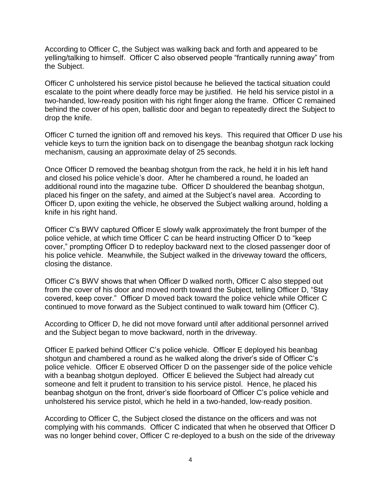According to Officer C, the Subject was walking back and forth and appeared to be yelling/talking to himself. Officer C also observed people "frantically running away" from the Subject.

Officer C unholstered his service pistol because he believed the tactical situation could escalate to the point where deadly force may be justified. He held his service pistol in a two-handed, low-ready position with his right finger along the frame. Officer C remained behind the cover of his open, ballistic door and began to repeatedly direct the Subject to drop the knife.

Officer C turned the ignition off and removed his keys. This required that Officer D use his vehicle keys to turn the ignition back on to disengage the beanbag shotgun rack locking mechanism, causing an approximate delay of 25 seconds.

Once Officer D removed the beanbag shotgun from the rack, he held it in his left hand and closed his police vehicle's door. After he chambered a round, he loaded an additional round into the magazine tube. Officer D shouldered the beanbag shotgun, placed his finger on the safety, and aimed at the Subject's navel area. According to Officer D, upon exiting the vehicle, he observed the Subject walking around, holding a knife in his right hand.

Officer C's BWV captured Officer E slowly walk approximately the front bumper of the police vehicle, at which time Officer C can be heard instructing Officer D to "keep cover," prompting Officer D to redeploy backward next to the closed passenger door of his police vehicle. Meanwhile, the Subject walked in the driveway toward the officers, closing the distance.

Officer C's BWV shows that when Officer D walked north, Officer C also stepped out from the cover of his door and moved north toward the Subject, telling Officer D, "Stay covered, keep cover." Officer D moved back toward the police vehicle while Officer C continued to move forward as the Subject continued to walk toward him (Officer C).

According to Officer D, he did not move forward until after additional personnel arrived and the Subject began to move backward, north in the driveway.

Officer E parked behind Officer C's police vehicle. Officer E deployed his beanbag shotgun and chambered a round as he walked along the driver's side of Officer C's police vehicle. Officer E observed Officer D on the passenger side of the police vehicle with a beanbag shotgun deployed. Officer E believed the Subject had already cut someone and felt it prudent to transition to his service pistol. Hence, he placed his beanbag shotgun on the front, driver's side floorboard of Officer C's police vehicle and unholstered his service pistol, which he held in a two-handed, low-ready position.

According to Officer C, the Subject closed the distance on the officers and was not complying with his commands. Officer C indicated that when he observed that Officer D was no longer behind cover, Officer C re-deployed to a bush on the side of the driveway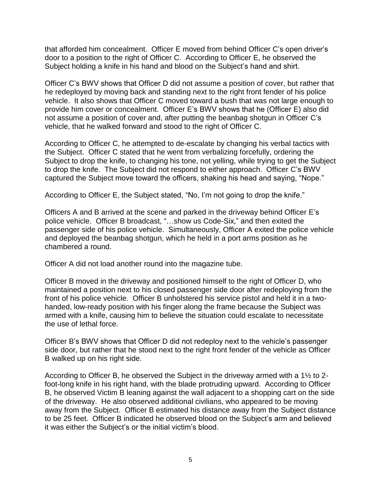that afforded him concealment. Officer E moved from behind Officer C's open driver's door to a position to the right of Officer C. According to Officer E, he observed the Subject holding a knife in his hand and blood on the Subject's hand and shirt.

Officer C's BWV shows that Officer D did not assume a position of cover, but rather that he redeployed by moving back and standing next to the right front fender of his police vehicle. It also shows that Officer C moved toward a bush that was not large enough to provide him cover or concealment. Officer E's BWV shows that he (Officer E) also did not assume a position of cover and, after putting the beanbag shotgun in Officer C's vehicle, that he walked forward and stood to the right of Officer C.

According to Officer C, he attempted to de-escalate by changing his verbal tactics with the Subject. Officer C stated that he went from verbalizing forcefully, ordering the Subject to drop the knife, to changing his tone, not yelling, while trying to get the Subject to drop the knife. The Subject did not respond to either approach. Officer C's BWV captured the Subject move toward the officers, shaking his head and saying, "Nope."

According to Officer E, the Subject stated, "No, I'm not going to drop the knife."

Officers A and B arrived at the scene and parked in the driveway behind Officer E's police vehicle. Officer B broadcast, "…show us Code-Six," and then exited the passenger side of his police vehicle. Simultaneously, Officer A exited the police vehicle and deployed the beanbag shotgun, which he held in a port arms position as he chambered a round.

Officer A did not load another round into the magazine tube.

Officer B moved in the driveway and positioned himself to the right of Officer D, who maintained a position next to his closed passenger side door after redeploying from the front of his police vehicle. Officer B unholstered his service pistol and held it in a twohanded, low-ready position with his finger along the frame because the Subject was armed with a knife, causing him to believe the situation could escalate to necessitate the use of lethal force.

Officer B's BWV shows that Officer D did not redeploy next to the vehicle's passenger side door, but rather that he stood next to the right front fender of the vehicle as Officer B walked up on his right side.

According to Officer B, he observed the Subject in the driveway armed with a 1½ to 2 foot-long knife in his right hand, with the blade protruding upward. According to Officer B, he observed Victim B leaning against the wall adjacent to a shopping cart on the side of the driveway. He also observed additional civilians, who appeared to be moving away from the Subject. Officer B estimated his distance away from the Subject distance to be 25 feet. Officer B indicated he observed blood on the Subject's arm and believed it was either the Subject's or the initial victim's blood.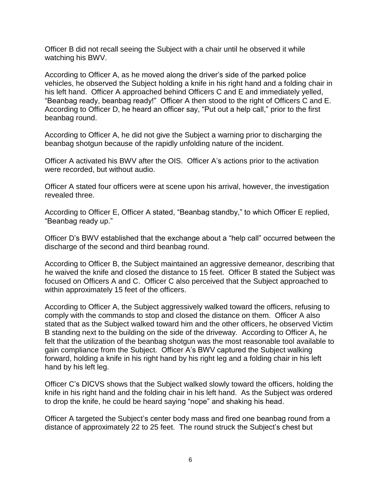Officer B did not recall seeing the Subject with a chair until he observed it while watching his BWV.

According to Officer A, as he moved along the driver's side of the parked police vehicles, he observed the Subject holding a knife in his right hand and a folding chair in his left hand. Officer A approached behind Officers C and E and immediately yelled, "Beanbag ready, beanbag ready!" Officer A then stood to the right of Officers C and E. According to Officer D, he heard an officer say, "Put out a help call," prior to the first beanbag round.

According to Officer A, he did not give the Subject a warning prior to discharging the beanbag shotgun because of the rapidly unfolding nature of the incident.

Officer A activated his BWV after the OIS. Officer A's actions prior to the activation were recorded, but without audio.

Officer A stated four officers were at scene upon his arrival, however, the investigation revealed three.

According to Officer E, Officer A stated, "Beanbag standby," to which Officer E replied, "Beanbag ready up."

Officer D's BWV established that the exchange about a "help call" occurred between the discharge of the second and third beanbag round.

According to Officer B, the Subject maintained an aggressive demeanor, describing that he waived the knife and closed the distance to 15 feet. Officer B stated the Subject was focused on Officers A and C. Officer C also perceived that the Subject approached to within approximately 15 feet of the officers.

According to Officer A, the Subject aggressively walked toward the officers, refusing to comply with the commands to stop and closed the distance on them. Officer A also stated that as the Subject walked toward him and the other officers, he observed Victim B standing next to the building on the side of the driveway. According to Officer A, he felt that the utilization of the beanbag shotgun was the most reasonable tool available to gain compliance from the Subject. Officer A's BWV captured the Subject walking forward, holding a knife in his right hand by his right leg and a folding chair in his left hand by his left leg.

Officer C's DICVS shows that the Subject walked slowly toward the officers, holding the knife in his right hand and the folding chair in his left hand. As the Subject was ordered to drop the knife, he could be heard saying "nope" and shaking his head.

Officer A targeted the Subject's center body mass and fired one beanbag round from a distance of approximately 22 to 25 feet. The round struck the Subject's chest but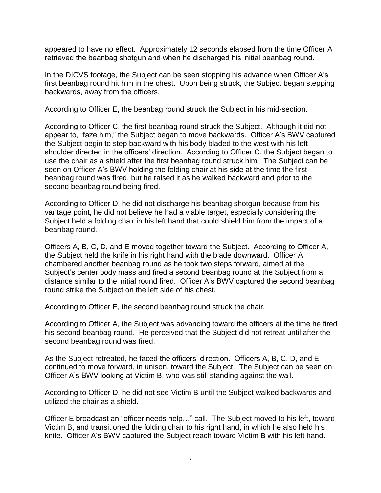appeared to have no effect. Approximately 12 seconds elapsed from the time Officer A retrieved the beanbag shotgun and when he discharged his initial beanbag round.

In the DICVS footage, the Subject can be seen stopping his advance when Officer A's first beanbag round hit him in the chest. Upon being struck, the Subject began stepping backwards, away from the officers.

According to Officer E, the beanbag round struck the Subject in his mid-section.

According to Officer C, the first beanbag round struck the Subject. Although it did not appear to, "faze him," the Subject began to move backwards. Officer A's BWV captured the Subject begin to step backward with his body bladed to the west with his left shoulder directed in the officers' direction. According to Officer C, the Subject began to use the chair as a shield after the first beanbag round struck him. The Subject can be seen on Officer A's BWV holding the folding chair at his side at the time the first beanbag round was fired, but he raised it as he walked backward and prior to the second beanbag round being fired.

According to Officer D, he did not discharge his beanbag shotgun because from his vantage point, he did not believe he had a viable target, especially considering the Subject held a folding chair in his left hand that could shield him from the impact of a beanbag round.

Officers A, B, C, D, and E moved together toward the Subject. According to Officer A, the Subject held the knife in his right hand with the blade downward. Officer A chambered another beanbag round as he took two steps forward, aimed at the Subject's center body mass and fired a second beanbag round at the Subject from a distance similar to the initial round fired. Officer A's BWV captured the second beanbag round strike the Subject on the left side of his chest.

According to Officer E, the second beanbag round struck the chair.

According to Officer A, the Subject was advancing toward the officers at the time he fired his second beanbag round. He perceived that the Subject did not retreat until after the second beanbag round was fired.

As the Subject retreated, he faced the officers' direction. Officers A, B, C, D, and E continued to move forward, in unison, toward the Subject. The Subject can be seen on Officer A's BWV looking at Victim B, who was still standing against the wall.

According to Officer D, he did not see Victim B until the Subject walked backwards and utilized the chair as a shield.

Officer E broadcast an "officer needs help…" call. The Subject moved to his left, toward Victim B, and transitioned the folding chair to his right hand, in which he also held his knife. Officer A's BWV captured the Subject reach toward Victim B with his left hand.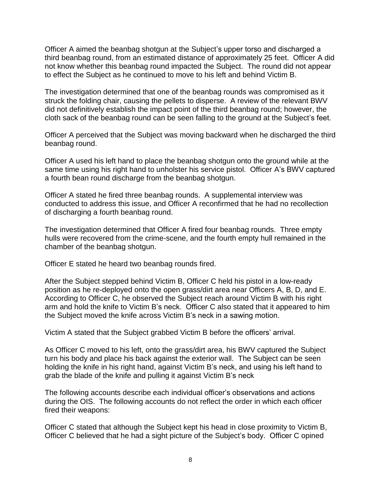Officer A aimed the beanbag shotgun at the Subject's upper torso and discharged a third beanbag round, from an estimated distance of approximately 25 feet. Officer A did not know whether this beanbag round impacted the Subject. The round did not appear to effect the Subject as he continued to move to his left and behind Victim B.

The investigation determined that one of the beanbag rounds was compromised as it struck the folding chair, causing the pellets to disperse. A review of the relevant BWV did not definitively establish the impact point of the third beanbag round; however, the cloth sack of the beanbag round can be seen falling to the ground at the Subject's feet.

Officer A perceived that the Subject was moving backward when he discharged the third beanbag round.

Officer A used his left hand to place the beanbag shotgun onto the ground while at the same time using his right hand to unholster his service pistol. Officer A's BWV captured a fourth bean round discharge from the beanbag shotgun.

Officer A stated he fired three beanbag rounds. A supplemental interview was conducted to address this issue, and Officer A reconfirmed that he had no recollection of discharging a fourth beanbag round.

The investigation determined that Officer A fired four beanbag rounds. Three empty hulls were recovered from the crime-scene, and the fourth empty hull remained in the chamber of the beanbag shotgun.

Officer E stated he heard two beanbag rounds fired.

After the Subject stepped behind Victim B, Officer C held his pistol in a low-ready position as he re-deployed onto the open grass/dirt area near Officers A, B, D, and E. According to Officer C, he observed the Subject reach around Victim B with his right arm and hold the knife to Victim B's neck. Officer C also stated that it appeared to him the Subject moved the knife across Victim B's neck in a sawing motion.

Victim A stated that the Subject grabbed Victim B before the officers' arrival.

As Officer C moved to his left, onto the grass/dirt area, his BWV captured the Subject turn his body and place his back against the exterior wall. The Subject can be seen holding the knife in his right hand, against Victim B's neck, and using his left hand to grab the blade of the knife and pulling it against Victim B's neck

The following accounts describe each individual officer's observations and actions during the OIS. The following accounts do not reflect the order in which each officer fired their weapons:

Officer C stated that although the Subject kept his head in close proximity to Victim B, Officer C believed that he had a sight picture of the Subject's body. Officer C opined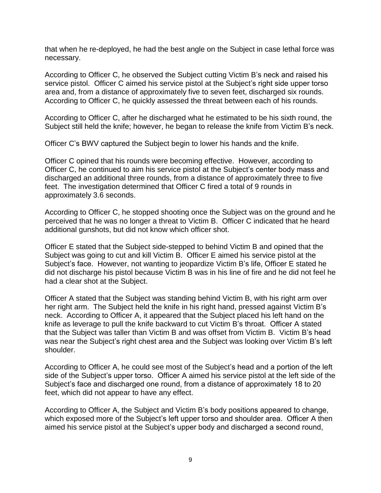that when he re-deployed, he had the best angle on the Subject in case lethal force was necessary.

According to Officer C, he observed the Subject cutting Victim B's neck and raised his service pistol. Officer C aimed his service pistol at the Subject's right side upper torso area and, from a distance of approximately five to seven feet, discharged six rounds. According to Officer C, he quickly assessed the threat between each of his rounds.

According to Officer C, after he discharged what he estimated to be his sixth round, the Subject still held the knife; however, he began to release the knife from Victim B's neck.

Officer C's BWV captured the Subject begin to lower his hands and the knife.

Officer C opined that his rounds were becoming effective. However, according to Officer C, he continued to aim his service pistol at the Subject's center body mass and discharged an additional three rounds, from a distance of approximately three to five feet. The investigation determined that Officer C fired a total of 9 rounds in approximately 3.6 seconds.

According to Officer C, he stopped shooting once the Subject was on the ground and he perceived that he was no longer a threat to Victim B. Officer C indicated that he heard additional gunshots, but did not know which officer shot.

Officer E stated that the Subject side-stepped to behind Victim B and opined that the Subject was going to cut and kill Victim B. Officer E aimed his service pistol at the Subject's face. However, not wanting to jeopardize Victim B's life, Officer E stated he did not discharge his pistol because Victim B was in his line of fire and he did not feel he had a clear shot at the Subject.

Officer A stated that the Subject was standing behind Victim B, with his right arm over her right arm. The Subject held the knife in his right hand, pressed against Victim B's neck. According to Officer A, it appeared that the Subject placed his left hand on the knife as leverage to pull the knife backward to cut Victim B's throat. Officer A stated that the Subject was taller than Victim B and was offset from Victim B. Victim B's head was near the Subject's right chest area and the Subject was looking over Victim B's left shoulder.

According to Officer A, he could see most of the Subject's head and a portion of the left side of the Subject's upper torso. Officer A aimed his service pistol at the left side of the Subject's face and discharged one round, from a distance of approximately 18 to 20 feet, which did not appear to have any effect.

According to Officer A, the Subject and Victim B's body positions appeared to change, which exposed more of the Subject's left upper torso and shoulder area. Officer A then aimed his service pistol at the Subject's upper body and discharged a second round,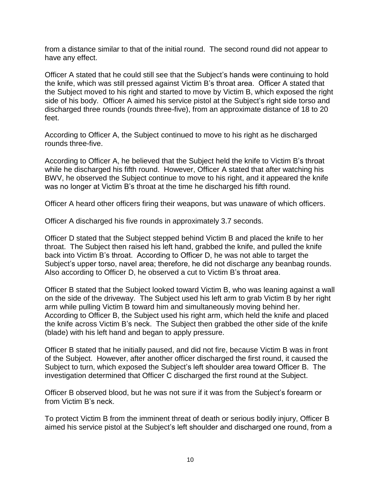from a distance similar to that of the initial round. The second round did not appear to have any effect.

Officer A stated that he could still see that the Subject's hands were continuing to hold the knife, which was still pressed against Victim B's throat area. Officer A stated that the Subject moved to his right and started to move by Victim B, which exposed the right side of his body. Officer A aimed his service pistol at the Subject's right side torso and discharged three rounds (rounds three-five), from an approximate distance of 18 to 20 feet.

According to Officer A, the Subject continued to move to his right as he discharged rounds three-five.

According to Officer A, he believed that the Subject held the knife to Victim B's throat while he discharged his fifth round. However, Officer A stated that after watching his BWV, he observed the Subject continue to move to his right, and it appeared the knife was no longer at Victim B's throat at the time he discharged his fifth round.

Officer A heard other officers firing their weapons, but was unaware of which officers.

Officer A discharged his five rounds in approximately 3.7 seconds.

Officer D stated that the Subject stepped behind Victim B and placed the knife to her throat. The Subject then raised his left hand, grabbed the knife, and pulled the knife back into Victim B's throat. According to Officer D, he was not able to target the Subject's upper torso, navel area; therefore, he did not discharge any beanbag rounds. Also according to Officer D, he observed a cut to Victim B's throat area.

Officer B stated that the Subject looked toward Victim B, who was leaning against a wall on the side of the driveway. The Subject used his left arm to grab Victim B by her right arm while pulling Victim B toward him and simultaneously moving behind her. According to Officer B, the Subject used his right arm, which held the knife and placed the knife across Victim B's neck. The Subject then grabbed the other side of the knife (blade) with his left hand and began to apply pressure.

Officer B stated that he initially paused, and did not fire, because Victim B was in front of the Subject. However, after another officer discharged the first round, it caused the Subject to turn, which exposed the Subject's left shoulder area toward Officer B. The investigation determined that Officer C discharged the first round at the Subject.

Officer B observed blood, but he was not sure if it was from the Subject's forearm or from Victim B's neck.

To protect Victim B from the imminent threat of death or serious bodily injury, Officer B aimed his service pistol at the Subject's left shoulder and discharged one round, from a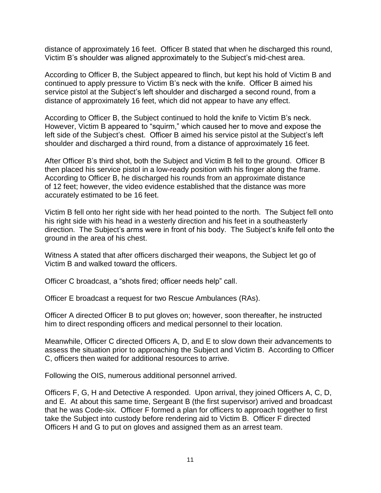distance of approximately 16 feet. Officer B stated that when he discharged this round, Victim B's shoulder was aligned approximately to the Subject's mid-chest area.

According to Officer B, the Subject appeared to flinch, but kept his hold of Victim B and continued to apply pressure to Victim B's neck with the knife. Officer B aimed his service pistol at the Subject's left shoulder and discharged a second round, from a distance of approximately 16 feet, which did not appear to have any effect.

According to Officer B, the Subject continued to hold the knife to Victim B's neck. However, Victim B appeared to "squirm," which caused her to move and expose the left side of the Subject's chest. Officer B aimed his service pistol at the Subject's left shoulder and discharged a third round, from a distance of approximately 16 feet.

After Officer B's third shot, both the Subject and Victim B fell to the ground. Officer B then placed his service pistol in a low-ready position with his finger along the frame. According to Officer B, he discharged his rounds from an approximate distance of 12 feet; however, the video evidence established that the distance was more accurately estimated to be 16 feet.

Victim B fell onto her right side with her head pointed to the north. The Subject fell onto his right side with his head in a westerly direction and his feet in a southeasterly direction. The Subject's arms were in front of his body. The Subject's knife fell onto the ground in the area of his chest.

Witness A stated that after officers discharged their weapons, the Subject let go of Victim B and walked toward the officers.

Officer C broadcast, a "shots fired; officer needs help" call.

Officer E broadcast a request for two Rescue Ambulances (RAs).

Officer A directed Officer B to put gloves on; however, soon thereafter, he instructed him to direct responding officers and medical personnel to their location.

Meanwhile, Officer C directed Officers A, D, and E to slow down their advancements to assess the situation prior to approaching the Subject and Victim B. According to Officer C, officers then waited for additional resources to arrive.

Following the OIS, numerous additional personnel arrived.

Officers F, G, H and Detective A responded. Upon arrival, they joined Officers A, C, D, and E. At about this same time, Sergeant B (the first supervisor) arrived and broadcast that he was Code-six. Officer F formed a plan for officers to approach together to first take the Subject into custody before rendering aid to Victim B. Officer F directed Officers H and G to put on gloves and assigned them as an arrest team.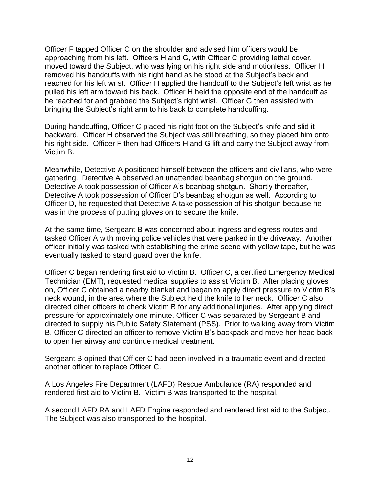Officer F tapped Officer C on the shoulder and advised him officers would be approaching from his left. Officers H and G, with Officer C providing lethal cover, moved toward the Subject, who was lying on his right side and motionless. Officer H removed his handcuffs with his right hand as he stood at the Subject's back and reached for his left wrist. Officer H applied the handcuff to the Subject's left wrist as he pulled his left arm toward his back. Officer H held the opposite end of the handcuff as he reached for and grabbed the Subject's right wrist. Officer G then assisted with bringing the Subject's right arm to his back to complete handcuffing.

During handcuffing, Officer C placed his right foot on the Subject's knife and slid it backward. Officer H observed the Subject was still breathing, so they placed him onto his right side. Officer F then had Officers H and G lift and carry the Subject away from Victim B.

Meanwhile, Detective A positioned himself between the officers and civilians, who were gathering. Detective A observed an unattended beanbag shotgun on the ground. Detective A took possession of Officer A's beanbag shotgun. Shortly thereafter, Detective A took possession of Officer D's beanbag shotgun as well. According to Officer D, he requested that Detective A take possession of his shotgun because he was in the process of putting gloves on to secure the knife.

At the same time, Sergeant B was concerned about ingress and egress routes and tasked Officer A with moving police vehicles that were parked in the driveway. Another officer initially was tasked with establishing the crime scene with yellow tape, but he was eventually tasked to stand guard over the knife.

Officer C began rendering first aid to Victim B. Officer C, a certified Emergency Medical Technician (EMT), requested medical supplies to assist Victim B. After placing gloves on, Officer C obtained a nearby blanket and began to apply direct pressure to Victim B's neck wound, in the area where the Subject held the knife to her neck. Officer C also directed other officers to check Victim B for any additional injuries. After applying direct pressure for approximately one minute, Officer C was separated by Sergeant B and directed to supply his Public Safety Statement (PSS). Prior to walking away from Victim B, Officer C directed an officer to remove Victim B's backpack and move her head back to open her airway and continue medical treatment.

Sergeant B opined that Officer C had been involved in a traumatic event and directed another officer to replace Officer C.

A Los Angeles Fire Department (LAFD) Rescue Ambulance (RA) responded and rendered first aid to Victim B. Victim B was transported to the hospital.

A second LAFD RA and LAFD Engine responded and rendered first aid to the Subject. The Subject was also transported to the hospital.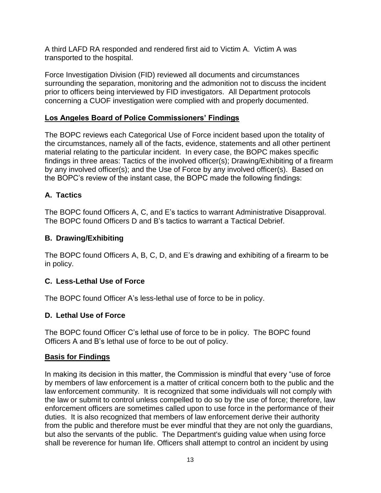A third LAFD RA responded and rendered first aid to Victim A. Victim A was transported to the hospital.

Force Investigation Division (FID) reviewed all documents and circumstances surrounding the separation, monitoring and the admonition not to discuss the incident prior to officers being interviewed by FID investigators. All Department protocols concerning a CUOF investigation were complied with and properly documented.

# **Los Angeles Board of Police Commissioners' Findings**

The BOPC reviews each Categorical Use of Force incident based upon the totality of the circumstances, namely all of the facts, evidence, statements and all other pertinent material relating to the particular incident. In every case, the BOPC makes specific findings in three areas: Tactics of the involved officer(s); Drawing/Exhibiting of a firearm by any involved officer(s); and the Use of Force by any involved officer(s). Based on the BOPC's review of the instant case, the BOPC made the following findings:

# **A. Tactics**

The BOPC found Officers A, C, and E's tactics to warrant Administrative Disapproval. The BOPC found Officers D and B's tactics to warrant a Tactical Debrief.

# **B. Drawing/Exhibiting**

The BOPC found Officers A, B, C, D, and E's drawing and exhibiting of a firearm to be in policy.

# **C. Less-Lethal Use of Force**

The BOPC found Officer A's less-lethal use of force to be in policy.

# **D. Lethal Use of Force**

The BOPC found Officer C's lethal use of force to be in policy. The BOPC found Officers A and B's lethal use of force to be out of policy.

# **Basis for Findings**

In making its decision in this matter, the Commission is mindful that every "use of force by members of law enforcement is a matter of critical concern both to the public and the law enforcement community. It is recognized that some individuals will not comply with the law or submit to control unless compelled to do so by the use of force; therefore, law enforcement officers are sometimes called upon to use force in the performance of their duties. It is also recognized that members of law enforcement derive their authority from the public and therefore must be ever mindful that they are not only the guardians, but also the servants of the public. The Department's guiding value when using force shall be reverence for human life. Officers shall attempt to control an incident by using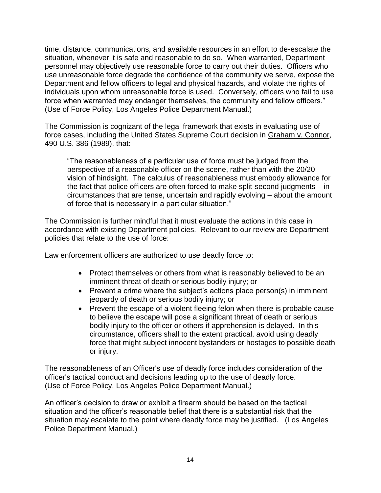time, distance, communications, and available resources in an effort to de-escalate the situation, whenever it is safe and reasonable to do so. When warranted, Department personnel may objectively use reasonable force to carry out their duties. Officers who use unreasonable force degrade the confidence of the community we serve, expose the Department and fellow officers to legal and physical hazards, and violate the rights of individuals upon whom unreasonable force is used. Conversely, officers who fail to use force when warranted may endanger themselves, the community and fellow officers." (Use of Force Policy, Los Angeles Police Department Manual.)

The Commission is cognizant of the legal framework that exists in evaluating use of force cases, including the United States Supreme Court decision in Graham v. Connor, 490 U.S. 386 (1989), that:

"The reasonableness of a particular use of force must be judged from the perspective of a reasonable officer on the scene, rather than with the 20/20 vision of hindsight. The calculus of reasonableness must embody allowance for the fact that police officers are often forced to make split-second judgments – in circumstances that are tense, uncertain and rapidly evolving – about the amount of force that is necessary in a particular situation."

The Commission is further mindful that it must evaluate the actions in this case in accordance with existing Department policies. Relevant to our review are Department policies that relate to the use of force:

Law enforcement officers are authorized to use deadly force to:

- Protect themselves or others from what is reasonably believed to be an imminent threat of death or serious bodily injury; or
- Prevent a crime where the subject's actions place person(s) in imminent jeopardy of death or serious bodily injury; or
- Prevent the escape of a violent fleeing felon when there is probable cause to believe the escape will pose a significant threat of death or serious bodily injury to the officer or others if apprehension is delayed. In this circumstance, officers shall to the extent practical, avoid using deadly force that might subject innocent bystanders or hostages to possible death or injury.

The reasonableness of an Officer's use of deadly force includes consideration of the officer's tactical conduct and decisions leading up to the use of deadly force. (Use of Force Policy, Los Angeles Police Department Manual.)

An officer's decision to draw or exhibit a firearm should be based on the tactical situation and the officer's reasonable belief that there is a substantial risk that the situation may escalate to the point where deadly force may be justified. (Los Angeles Police Department Manual.)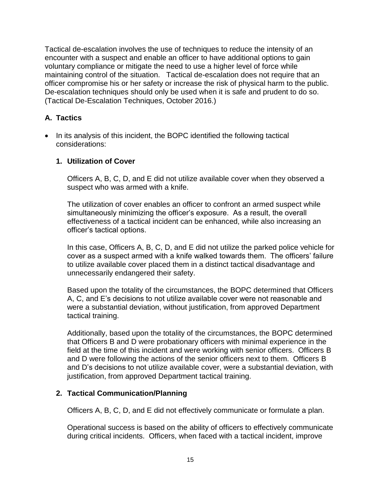Tactical de-escalation involves the use of techniques to reduce the intensity of an encounter with a suspect and enable an officer to have additional options to gain voluntary compliance or mitigate the need to use a higher level of force while maintaining control of the situation. Tactical de-escalation does not require that an officer compromise his or her safety or increase the risk of physical harm to the public. De-escalation techniques should only be used when it is safe and prudent to do so. (Tactical De-Escalation Techniques, October 2016.)

# **A. Tactics**

• In its analysis of this incident, the BOPC identified the following tactical considerations:

## **1. Utilization of Cover**

Officers A, B, C, D, and E did not utilize available cover when they observed a suspect who was armed with a knife.

The utilization of cover enables an officer to confront an armed suspect while simultaneously minimizing the officer's exposure. As a result, the overall effectiveness of a tactical incident can be enhanced, while also increasing an officer's tactical options.

In this case, Officers A, B, C, D, and E did not utilize the parked police vehicle for cover as a suspect armed with a knife walked towards them. The officers' failure to utilize available cover placed them in a distinct tactical disadvantage and unnecessarily endangered their safety.

Based upon the totality of the circumstances, the BOPC determined that Officers A, C, and E's decisions to not utilize available cover were not reasonable and were a substantial deviation, without justification, from approved Department tactical training.

Additionally, based upon the totality of the circumstances, the BOPC determined that Officers B and D were probationary officers with minimal experience in the field at the time of this incident and were working with senior officers. Officers B and D were following the actions of the senior officers next to them. Officers B and D's decisions to not utilize available cover, were a substantial deviation, with justification, from approved Department tactical training.

## **2. Tactical Communication/Planning**

Officers A, B, C, D, and E did not effectively communicate or formulate a plan.

Operational success is based on the ability of officers to effectively communicate during critical incidents. Officers, when faced with a tactical incident, improve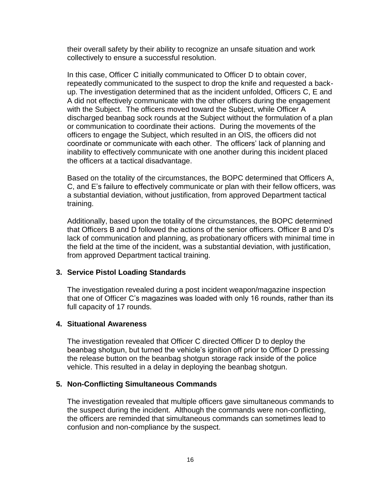their overall safety by their ability to recognize an unsafe situation and work collectively to ensure a successful resolution.

In this case, Officer C initially communicated to Officer D to obtain cover, repeatedly communicated to the suspect to drop the knife and requested a backup. The investigation determined that as the incident unfolded, Officers C, E and A did not effectively communicate with the other officers during the engagement with the Subject. The officers moved toward the Subject, while Officer A discharged beanbag sock rounds at the Subject without the formulation of a plan or communication to coordinate their actions. During the movements of the officers to engage the Subject, which resulted in an OIS, the officers did not coordinate or communicate with each other. The officers' lack of planning and inability to effectively communicate with one another during this incident placed the officers at a tactical disadvantage.

Based on the totality of the circumstances, the BOPC determined that Officers A, C, and E's failure to effectively communicate or plan with their fellow officers, was a substantial deviation, without justification, from approved Department tactical training.

Additionally, based upon the totality of the circumstances, the BOPC determined that Officers B and D followed the actions of the senior officers. Officer B and D's lack of communication and planning, as probationary officers with minimal time in the field at the time of the incident, was a substantial deviation, with justification, from approved Department tactical training.

#### **3. Service Pistol Loading Standards**

The investigation revealed during a post incident weapon/magazine inspection that one of Officer C's magazines was loaded with only 16 rounds, rather than its full capacity of 17 rounds.

#### **4. Situational Awareness**

The investigation revealed that Officer C directed Officer D to deploy the beanbag shotgun, but turned the vehicle's ignition off prior to Officer D pressing the release button on the beanbag shotgun storage rack inside of the police vehicle. This resulted in a delay in deploying the beanbag shotgun.

#### **5. Non-Conflicting Simultaneous Commands**

The investigation revealed that multiple officers gave simultaneous commands to the suspect during the incident. Although the commands were non-conflicting, the officers are reminded that simultaneous commands can sometimes lead to confusion and non-compliance by the suspect.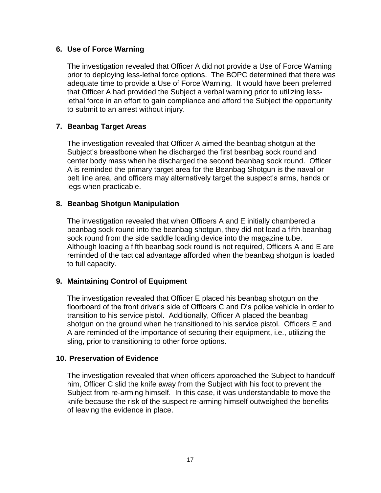### **6. Use of Force Warning**

The investigation revealed that Officer A did not provide a Use of Force Warning prior to deploying less-lethal force options. The BOPC determined that there was adequate time to provide a Use of Force Warning. It would have been preferred that Officer A had provided the Subject a verbal warning prior to utilizing lesslethal force in an effort to gain compliance and afford the Subject the opportunity to submit to an arrest without injury.

## **7. Beanbag Target Areas**

The investigation revealed that Officer A aimed the beanbag shotgun at the Subject's breastbone when he discharged the first beanbag sock round and center body mass when he discharged the second beanbag sock round. Officer A is reminded the primary target area for the Beanbag Shotgun is the naval or belt line area, and officers may alternatively target the suspect's arms, hands or legs when practicable.

## **8. Beanbag Shotgun Manipulation**

The investigation revealed that when Officers A and E initially chambered a beanbag sock round into the beanbag shotgun, they did not load a fifth beanbag sock round from the side saddle loading device into the magazine tube. Although loading a fifth beanbag sock round is not required, Officers A and E are reminded of the tactical advantage afforded when the beanbag shotgun is loaded to full capacity.

## **9. Maintaining Control of Equipment**

The investigation revealed that Officer E placed his beanbag shotgun on the floorboard of the front driver's side of Officers C and D's police vehicle in order to transition to his service pistol. Additionally, Officer A placed the beanbag shotgun on the ground when he transitioned to his service pistol. Officers E and A are reminded of the importance of securing their equipment, i.e., utilizing the sling, prior to transitioning to other force options.

#### **10. Preservation of Evidence**

The investigation revealed that when officers approached the Subject to handcuff him, Officer C slid the knife away from the Subject with his foot to prevent the Subject from re-arming himself. In this case, it was understandable to move the knife because the risk of the suspect re-arming himself outweighed the benefits of leaving the evidence in place.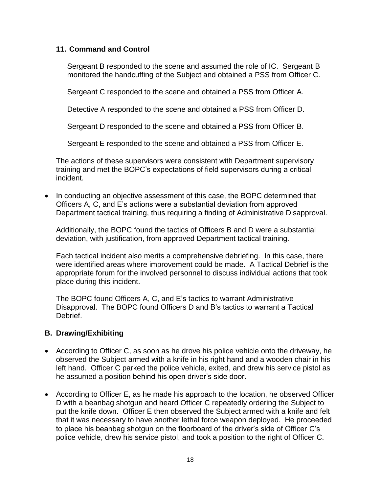#### **11. Command and Control**

Sergeant B responded to the scene and assumed the role of IC. Sergeant B monitored the handcuffing of the Subject and obtained a PSS from Officer C.

Sergeant C responded to the scene and obtained a PSS from Officer A.

Detective A responded to the scene and obtained a PSS from Officer D.

Sergeant D responded to the scene and obtained a PSS from Officer B.

Sergeant E responded to the scene and obtained a PSS from Officer E.

The actions of these supervisors were consistent with Department supervisory training and met the BOPC's expectations of field supervisors during a critical incident.

• In conducting an objective assessment of this case, the BOPC determined that Officers A, C, and E's actions were a substantial deviation from approved Department tactical training, thus requiring a finding of Administrative Disapproval.

Additionally, the BOPC found the tactics of Officers B and D were a substantial deviation, with justification, from approved Department tactical training.

Each tactical incident also merits a comprehensive debriefing. In this case, there were identified areas where improvement could be made. A Tactical Debrief is the appropriate forum for the involved personnel to discuss individual actions that took place during this incident.

The BOPC found Officers A, C, and E's tactics to warrant Administrative Disapproval. The BOPC found Officers D and B's tactics to warrant a Tactical Debrief.

#### **B. Drawing/Exhibiting**

- According to Officer C, as soon as he drove his police vehicle onto the driveway, he observed the Subject armed with a knife in his right hand and a wooden chair in his left hand. Officer C parked the police vehicle, exited, and drew his service pistol as he assumed a position behind his open driver's side door.
- According to Officer E, as he made his approach to the location, he observed Officer D with a beanbag shotgun and heard Officer C repeatedly ordering the Subject to put the knife down. Officer E then observed the Subject armed with a knife and felt that it was necessary to have another lethal force weapon deployed. He proceeded to place his beanbag shotgun on the floorboard of the driver's side of Officer C's police vehicle, drew his service pistol, and took a position to the right of Officer C.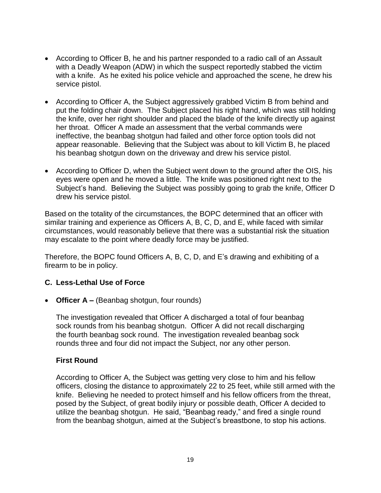- According to Officer B, he and his partner responded to a radio call of an Assault with a Deadly Weapon (ADW) in which the suspect reportedly stabbed the victim with a knife. As he exited his police vehicle and approached the scene, he drew his service pistol.
- According to Officer A, the Subject aggressively grabbed Victim B from behind and put the folding chair down. The Subject placed his right hand, which was still holding the knife, over her right shoulder and placed the blade of the knife directly up against her throat. Officer A made an assessment that the verbal commands were ineffective, the beanbag shotgun had failed and other force option tools did not appear reasonable. Believing that the Subject was about to kill Victim B, he placed his beanbag shotgun down on the driveway and drew his service pistol.
- According to Officer D, when the Subject went down to the ground after the OIS, his eyes were open and he moved a little. The knife was positioned right next to the Subject's hand. Believing the Subject was possibly going to grab the knife, Officer D drew his service pistol.

Based on the totality of the circumstances, the BOPC determined that an officer with similar training and experience as Officers A, B, C, D, and E, while faced with similar circumstances, would reasonably believe that there was a substantial risk the situation may escalate to the point where deadly force may be justified.

Therefore, the BOPC found Officers A, B, C, D, and E's drawing and exhibiting of a firearm to be in policy.

## **C. Less-Lethal Use of Force**

• **Officer A –** (Beanbag shotgun, four rounds)

The investigation revealed that Officer A discharged a total of four beanbag sock rounds from his beanbag shotgun. Officer A did not recall discharging the fourth beanbag sock round. The investigation revealed beanbag sock rounds three and four did not impact the Subject, nor any other person.

#### **First Round**

According to Officer A, the Subject was getting very close to him and his fellow officers, closing the distance to approximately 22 to 25 feet, while still armed with the knife. Believing he needed to protect himself and his fellow officers from the threat, posed by the Subject, of great bodily injury or possible death, Officer A decided to utilize the beanbag shotgun. He said, "Beanbag ready," and fired a single round from the beanbag shotgun, aimed at the Subject's breastbone, to stop his actions.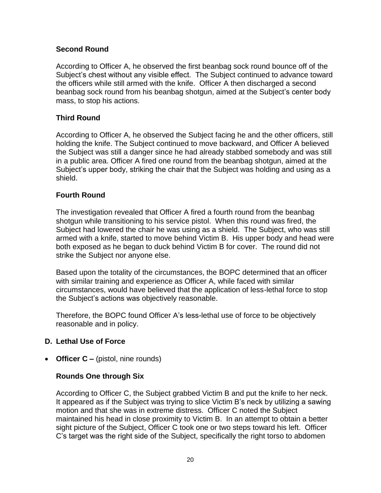## **Second Round**

According to Officer A, he observed the first beanbag sock round bounce off of the Subject's chest without any visible effect. The Subject continued to advance toward the officers while still armed with the knife. Officer A then discharged a second beanbag sock round from his beanbag shotgun, aimed at the Subject's center body mass, to stop his actions.

## **Third Round**

According to Officer A, he observed the Subject facing he and the other officers, still holding the knife. The Subject continued to move backward, and Officer A believed the Subject was still a danger since he had already stabbed somebody and was still in a public area. Officer A fired one round from the beanbag shotgun, aimed at the Subject's upper body, striking the chair that the Subject was holding and using as a shield.

## **Fourth Round**

The investigation revealed that Officer A fired a fourth round from the beanbag shotgun while transitioning to his service pistol. When this round was fired, the Subject had lowered the chair he was using as a shield. The Subject, who was still armed with a knife, started to move behind Victim B. His upper body and head were both exposed as he began to duck behind Victim B for cover. The round did not strike the Subject nor anyone else.

Based upon the totality of the circumstances, the BOPC determined that an officer with similar training and experience as Officer A, while faced with similar circumstances, would have believed that the application of less-lethal force to stop the Subject's actions was objectively reasonable.

Therefore, the BOPC found Officer A's less-lethal use of force to be objectively reasonable and in policy.

#### **D. Lethal Use of Force**

• **Officer C –** (pistol, nine rounds)

#### **Rounds One through Six**

According to Officer C, the Subject grabbed Victim B and put the knife to her neck. It appeared as if the Subject was trying to slice Victim B's neck by utilizing a sawing motion and that she was in extreme distress. Officer C noted the Subject maintained his head in close proximity to Victim B. In an attempt to obtain a better sight picture of the Subject, Officer C took one or two steps toward his left. Officer C's target was the right side of the Subject, specifically the right torso to abdomen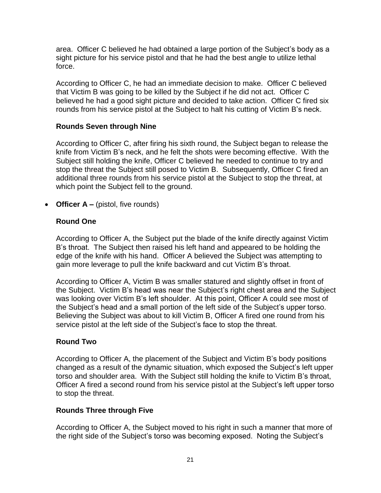area. Officer C believed he had obtained a large portion of the Subject's body as a sight picture for his service pistol and that he had the best angle to utilize lethal force.

According to Officer C, he had an immediate decision to make. Officer C believed that Victim B was going to be killed by the Subject if he did not act. Officer C believed he had a good sight picture and decided to take action. Officer C fired six rounds from his service pistol at the Subject to halt his cutting of Victim B's neck.

## **Rounds Seven through Nine**

According to Officer C, after firing his sixth round, the Subject began to release the knife from Victim B's neck, and he felt the shots were becoming effective. With the Subject still holding the knife, Officer C believed he needed to continue to try and stop the threat the Subject still posed to Victim B. Subsequently, Officer C fired an additional three rounds from his service pistol at the Subject to stop the threat, at which point the Subject fell to the ground.

• **Officer A** – (pistol, five rounds)

## **Round One**

According to Officer A, the Subject put the blade of the knife directly against Victim B's throat. The Subject then raised his left hand and appeared to be holding the edge of the knife with his hand. Officer A believed the Subject was attempting to gain more leverage to pull the knife backward and cut Victim B's throat.

According to Officer A, Victim B was smaller statured and slightly offset in front of the Subject. Victim B's head was near the Subject's right chest area and the Subject was looking over Victim B's left shoulder. At this point, Officer A could see most of the Subject's head and a small portion of the left side of the Subject's upper torso. Believing the Subject was about to kill Victim B, Officer A fired one round from his service pistol at the left side of the Subject's face to stop the threat.

## **Round Two**

According to Officer A, the placement of the Subject and Victim B's body positions changed as a result of the dynamic situation, which exposed the Subject's left upper torso and shoulder area. With the Subject still holding the knife to Victim B's throat, Officer A fired a second round from his service pistol at the Subject's left upper torso to stop the threat.

## **Rounds Three through Five**

According to Officer A, the Subject moved to his right in such a manner that more of the right side of the Subject's torso was becoming exposed. Noting the Subject's